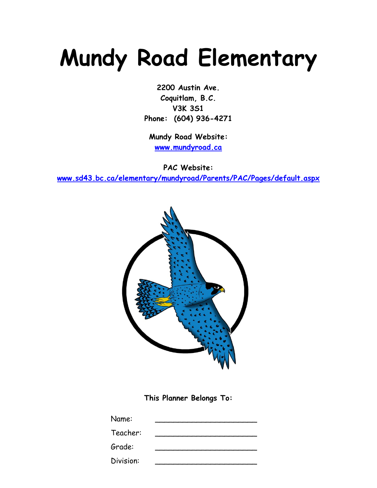# **Mundy Road Elementary**

**2200 Austin Ave. Coquitlam, B.C. V3K 3S1 Phone: (604) 936-4271**

**Mundy Road Website: [www.mundyroad.ca](http://www.mundyroad.ca/)**

**PAC Website:** 

**[www.sd43.bc.ca/elementary/mundyroad/Parents/PAC/Pages/default.aspx](http://www.sd43.bc.ca/elementary/mundyroad/Parents/PAC/Pages/default.aspx)**



**This Planner Belongs To:**

| Name:     |  |
|-----------|--|
| Teacher:  |  |
| Grade:    |  |
| Division: |  |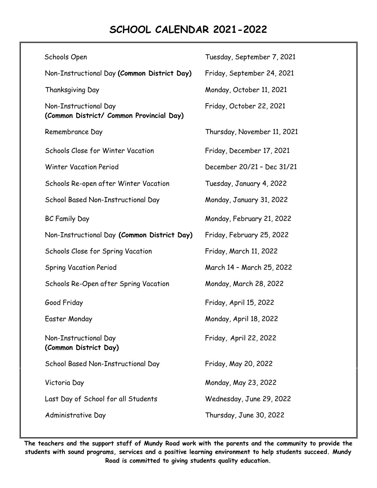# **SCHOOL CALENDAR 2021-2022**

| Schools Open                                                      | Tuesday, September 7, 2021  |
|-------------------------------------------------------------------|-----------------------------|
| Non-Instructional Day (Common District Day)                       | Friday, September 24, 2021  |
| Thanksgiving Day                                                  | Monday, October 11, 2021    |
| Non-Instructional Day<br>(Common District/ Common Provincial Day) | Friday, October 22, 2021    |
| Remembrance Day                                                   | Thursday, November 11, 2021 |
| <b>Schools Close for Winter Vacation</b>                          | Friday, December 17, 2021   |
| <b>Winter Vacation Period</b>                                     | December 20/21 - Dec 31/21  |
| Schools Re-open after Winter Vacation                             | Tuesday, January 4, 2022    |
| School Based Non-Instructional Day                                | Monday, January 31, 2022    |
| <b>BC Family Day</b>                                              | Monday, February 21, 2022   |
| Non-Instructional Day (Common District Day)                       | Friday, February 25, 2022   |
| Schools Close for Spring Vacation                                 | Friday, March 11, 2022      |
| <b>Spring Vacation Period</b>                                     | March 14 - March 25, 2022   |
| Schools Re-Open after Spring Vacation                             | Monday, March 28, 2022      |
| Good Friday                                                       | Friday, April 15, 2022      |
| Easter Monday                                                     | Monday, April 18, 2022      |
| Non-Instructional Day<br>(Common District Day)                    | Friday, April 22, 2022      |
| School Based Non-Instructional Day                                | Friday, May 20, 2022        |
| Victoria Day                                                      | Monday, May 23, 2022        |
| Last Day of School for all Students                               | Wednesday, June 29, 2022    |
| Administrative Day                                                | Thursday, June 30, 2022     |

**The teachers and the support staff of Mundy Road work with the parents and the community to provide the students with sound programs, services and a positive learning environment to help students succeed. Mundy Road is committed to giving students quality education.**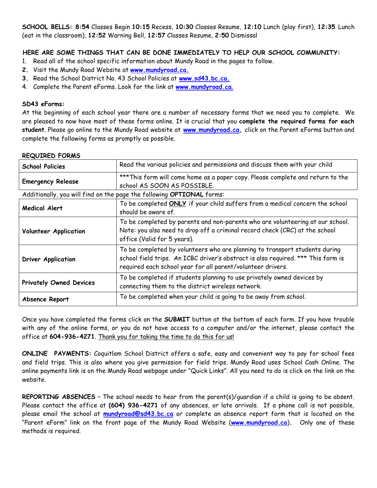**SCHOOL BELLS: 8:54** Classes Begin **10:15** Recess, **10:30** Classes Resume, **12:10** Lunch (play first), **12:35** Lunch (eat in the classroom), **12:52** Warning Bell, **12:57** Classes Resume, **2:50** Dismissal

# **HERE ARE SOME THINGS THAT CAN BE DONE IMMEDIATELY TO HELP OUR SCHOOL COMMUNITY:**

- 1. Read all of the school specific information about Mundy Road in the pages to follow.
- **2.** Visit the Mundy Road Website at **[www.m](http://www./)undyroad.ca.**
- **3.** Read the School District No. 43 School Policies at **[www.sd43.bc.ca.](http://www.sd43.bc.ca/)**
- 4. Complete the Parent eForms. Look for the link at **[www.](http://www.sd43.bc.ca/elementary/aspenwood)mundyroad.ca**.

#### **SD43 eForms:**

At the beginning of each school year there are a number of necessary forms that we need you to complete. We are pleased to now have most of these forms online. It is crucial that you **complete the required forms for each student**. Please go online to the Mundy Road website at **[www.m](http://www./)undyroad.ca,** click on the Parent eForms button and complete the following forms as promptly as possible.

#### **REQUIRED FORMS**

| <b>School Policies</b>                                                | Read the various policies and permissions and discuss them with your child                                                                                                                                                     |  |
|-----------------------------------------------------------------------|--------------------------------------------------------------------------------------------------------------------------------------------------------------------------------------------------------------------------------|--|
| <b>Emergency Release</b>                                              | *** This form will come home as a paper copy. Please complete and return to the<br>school AS SOON AS POSSIBLE.                                                                                                                 |  |
| Additionally, you will find on the page the following OPTIONAL forms: |                                                                                                                                                                                                                                |  |
| <b>Medical Alert</b>                                                  | To be completed ONLY if your child suffers from a medical concern the school<br>should be aware of.                                                                                                                            |  |
| <b>Volunteer Application</b>                                          | To be completed by parents and non-parents who are volunteering at our school.<br>Note: you also need to drop off a criminal record check (CRC) at the school<br>office (Valid for 5 years).                                   |  |
| <b>Driver Application</b>                                             | To be completed by volunteers who are planning to transport students during<br>school field trips. An ICBC driver's abstract is also required. *** This form is<br>required each school year for all parent/volunteer drivers. |  |
| <b>Privately Owned Devices</b>                                        | To be completed if students planning to use privately owned devices by<br>connecting them to the district wireless network.                                                                                                    |  |
| Absence Report                                                        | To be completed when your child is going to be away from school.                                                                                                                                                               |  |

Once you have completed the forms click on the **SUBMIT** button at the bottom of each form. If you have trouble with any of the online forms, or you do not have access to a computer and/or the internet, please contact the office at **604-936-4271**. Thank you for taking the time to do this for us!

**ONLINE PAYMENTS:** Coquitlam School District offers a safe, easy and convenient way to pay for school fees and field trips. This is also where you give permission for field trips. Mundy Road uses School Cash Online. The online payments link is on the Mundy Road webpage under "Quick Links". All you need to do is click on the link on the website.

**REPORTING ABSENCES** – The school needs to hear from the parent(s)/guardian if a child is going to be absent. Please contact the office at **(604) 936-4271** of any absences, or late arrivals. If a phone call is not possible, please email the school at **[mundyroad@sd43.bc.ca](mailto:mundyroad@sd43.bc.ca)** or complete an absence report form that is located on the "Parent eForm" link on the front page of the Mundy Road Website (**[www.mundyroad.ca](http://www.mundyroad.ca/)**)**.** Only one of these methods is required.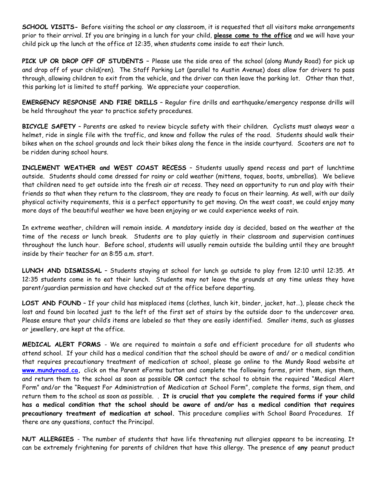**SCHOOL VISITS-** Before visiting the school or any classroom, it is requested that all visitors make arrangements prior to their arrival. If you are bringing in a lunch for your child, **please come to the office** and we will have your child pick up the lunch at the office at 12:35, when students come inside to eat their lunch.

**PICK UP OR DROP OFF OF STUDENTS –** Please use the side area of the school (along Mundy Road) for pick up and drop off of your child(ren). The Staff Parking Lot (parallel to Austin Avenue) does allow for drivers to pass through, allowing children to exit from the vehicle, and the driver can then leave the parking lot. Other than that, this parking lot is limited to staff parking. We appreciate your cooperation.

**EMERGENCY RESPONSE AND FIRE DRILLS** – Regular fire drills and earthquake/emergency response drills will be held throughout the year to practice safety procedures.

**BICYCLE SAFETY** – Parents are asked to review bicycle safety with their children. Cyclists must always wear a helmet, ride in single file with the traffic, and know and follow the rules of the road. Students should walk their bikes when on the school grounds and lock their bikes along the fence in the inside courtyard. Scooters are not to be ridden during school hours.

**INCLEMENT WEATHER and WEST COAST RECESS** – Students usually spend recess and part of lunchtime outside. Students should come dressed for rainy or cold weather (mittens, toques, boots, umbrellas). We believe that children need to get outside into the fresh air at recess. They need an opportunity to run and play with their friends so that when they return to the classroom, they are ready to focus on their learning. As well, with our daily physical activity requirements, this is a perfect opportunity to get moving. On the west coast, we could enjoy many more days of the beautiful weather we have been enjoying or we could experience weeks of rain.

In extreme weather, children will remain inside. A *mandatory* inside day is decided, based on the weather at the time of the recess or lunch break. Students are to play quietly in their classroom and supervision continues throughout the lunch hour. Before school, students will usually remain outside the building until they are brought inside by their teacher for an 8:55 a.m. start.

**LUNCH AND DISMISSAL** – Students staying at school for lunch go outside to play from 12:10 until 12:35. At 12:35 students come in to eat their lunch. Students may not leave the grounds at any time unless they have parent/guardian permission and have checked out at the office before departing.

LOST AND FOUND - If your child has misplaced items (clothes, lunch kit, binder, jacket, hat...), please check the lost and found bin located just to the left of the first set of stairs by the outside door to the undercover area. Please ensure that your child's items are labeled so that they are easily identified. Smaller items, such as glasses or jewellery, are kept at the office.

**MEDICAL ALERT FORMS** - We are required to maintain a safe and efficient procedure for all students who attend school. If your child has a medical condition that the school should be aware of and/ or a medical condition that requires precautionary treatment of medication at school, please go online to the Mundy Road website at **[www.m](http://www./)undyroad.ca,** click on the Parent eForms button and complete the following forms, print them, sign them, and return them to the school as soon as possible **OR** contact the school to obtain the required "Medical Alert Form" and/or the "Request For Administration of Medication at School Form", complete the forms, sign them, and return them to the school as soon as possible. . **It is crucial that you complete the required forms if your child has a medical condition that the school should be aware of and/or has a medical condition that requires precautionary treatment of medication at school.** This procedure complies with School Board Procedures. If there are any questions, contact the Principal.

**NUT ALLERGIES** - The number of students that have life threatening nut allergies appears to be increasing. It can be extremely frightening for parents of children that have this allergy. The presence of **any** peanut product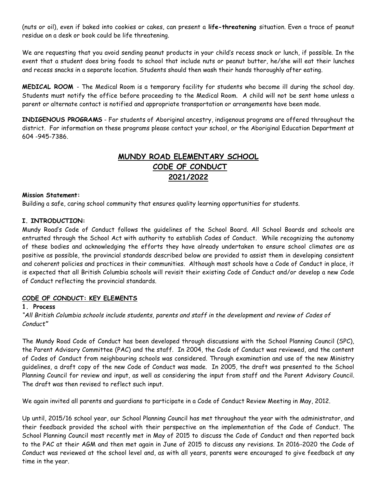(nuts or oil), even if baked into cookies or cakes, can present a **life-threatening** situation. Even a trace of peanut residue on a desk or book could be life threatening.

We are requesting that you avoid sending peanut products in your child's recess snack or lunch, if possible. In the event that a student does bring foods to school that include nuts or peanut butter, he/she will eat their lunches and recess snacks in a separate location. Students should then wash their hands thoroughly after eating.

**MEDICAL ROOM** - The Medical Room is a temporary facility for students who become ill during the school day. Students must notify the office before proceeding to the Medical Room. A child will not be sent home unless a parent or alternate contact is notified and appropriate transportation or arrangements have been made.

**INDIGENOUS PROGRAMS** - For students of Aboriginal ancestry, indigenous programs are offered throughout the district. For information on these programs please contact your school, or the Aboriginal Education Department at 604 -945-7386.

# **MUNDY ROAD ELEMENTARY SCHOOL CODE OF CONDUCT 2021/2022**

#### **Mission Statement:**

Building a safe, caring school community that ensures quality learning opportunities for students.

#### **I. INTRODUCTION:**

Mundy Road's Code of Conduct follows the guidelines of the School Board. All School Boards and schools are entrusted through the School Act with authority to establish Codes of Conduct. While recognizing the autonomy of these bodies and acknowledging the efforts they have already undertaken to ensure school climates are as positive as possible, the provincial standards described below are provided to assist them in developing consistent and coherent policies and practices in their communities. Although most schools have a Code of Conduct in place, it is expected that all British Columbia schools will revisit their existing Code of Conduct and/or develop a new Code of Conduct reflecting the provincial standards.

# **CODE OF CONDUCT: KEY ELEMENTS**

#### **1. Process**

# "All British Columbia schools include students, parents and staff in the development and review of Codes of *Conduct"*

The Mundy Road Code of Conduct has been developed through discussions with the School Planning Council (SPC), the Parent Advisory Committee (PAC) and the staff. In 2004, the Code of Conduct was reviewed, and the content of Codes of Conduct from neighbouring schools was considered. Through examination and use of the new Ministry guidelines, a draft copy of the new Code of Conduct was made. In 2005, the draft was presented to the School Planning Council for review and input, as well as considering the input from staff and the Parent Advisory Council. The draft was then revised to reflect such input.

We again invited all parents and guardians to participate in a Code of Conduct Review Meeting in May, 2012.

Up until, 2015/16 school year, our School Planning Council has met throughout the year with the administrator, and their feedback provided the school with their perspective on the implementation of the Code of Conduct. The School Planning Council most recently met in May of 2015 to discuss the Code of Conduct and then reported back to the PAC at their AGM and then met again in June of 2015 to discuss any revisions. In 2016-2020 the Code of Conduct was reviewed at the school level and, as with all years, parents were encouraged to give feedback at any time in the year.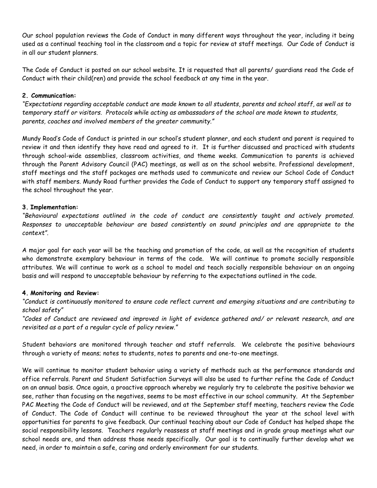Our school population reviews the Code of Conduct in many different ways throughout the year, including it being used as a continual teaching tool in the classroom and a topic for review at staff meetings. Our Code of Conduct is in all our student planners.

The Code of Conduct is posted on our school website. It is requested that all parents/ guardians read the Code of Conduct with their child(ren) and provide the school feedback at any time in the year.

# **2. Communication:**

*"Expectations regarding acceptable conduct are made known to all students, parents and school staff, as well as to temporary staff or visitors. Protocols while acting as ambassadors of the school are made known to students, parents, coaches and involved members of the greater community."*

Mundy Road's Code of Conduct is printed in our school's student planner, and each student and parent is required to review it and then identify they have read and agreed to it. It is further discussed and practiced with students through school-wide assemblies, classroom activities, and theme weeks. Communication to parents is achieved through the Parent Advisory Council (PAC) meetings, as well as on the school website. Professional development, staff meetings and the staff packages are methods used to communicate and review our School Code of Conduct with staff members. Mundy Road further provides the Code of Conduct to support any temporary staff assigned to the school throughout the year.

#### **3. Implementation:**

*"Behavioural expectations outlined in the code of conduct are consistently taught and actively promoted. Responses to unacceptable behaviour are based consistently on sound principles and are appropriate to the context".* 

A major goal for each year will be the teaching and promotion of the code, as well as the recognition of students who demonstrate exemplary behaviour in terms of the code. We will continue to promote socially responsible attributes. We will continue to work as a school to model and teach socially responsible behaviour on an ongoing basis and will respond to unacceptable behaviour by referring to the expectations outlined in the code.

# **4. Monitoring and Review:**

*"Conduct is continuously monitored to ensure code reflect current and emerging situations and are contributing to school safety"*

*"Codes of Conduct are reviewed and improved in light of evidence gathered and/ or relevant research, and are revisited as a part of a regular cycle of policy review."*

Student behaviors are monitored through teacher and staff referrals. We celebrate the positive behaviours through a variety of means; notes to students, notes to parents and one-to-one meetings.

We will continue to monitor student behavior using a variety of methods such as the performance standards and office referrals. Parent and Student Satisfaction Surveys will also be used to further refine the Code of Conduct on an annual basis. Once again, a proactive approach whereby we regularly try to celebrate the positive behavior we see, rather than focusing on the negatives, seems to be most effective in our school community. At the September PAC Meeting the Code of Conduct will be reviewed, and at the September staff meeting, teachers review the Code of Conduct. The Code of Conduct will continue to be reviewed throughout the year at the school level with opportunities for parents to give feedback. Our continual teaching about our Code of Conduct has helped shape the social responsibility lessons. Teachers regularly reassess at staff meetings and in grade group meetings what our school needs are, and then address those needs specifically. Our goal is to continually further develop what we need, in order to maintain a safe, caring and orderly environment for our students.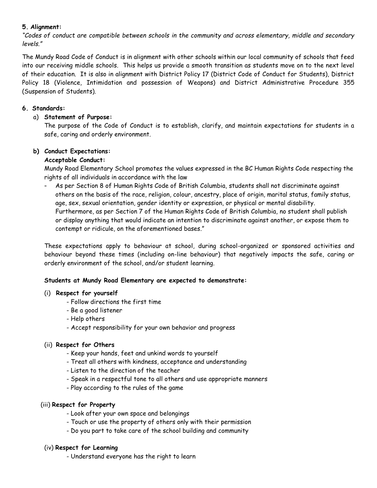# **5. Alignment:**

*"Codes of conduct are compatible between schools in the community and across elementary, middle and secondary levels."*

The Mundy Road Code of Conduct is in alignment with other schools within our local community of schools that feed into our receiving middle schools. This helps us provide a smooth transition as students move on to the next level of their education. It is also in alignment with District Policy 17 (District Code of Conduct for Students), District Policy 18 (Violence, Intimidation and possession of Weapons) and District Administrative Procedure 355 (Suspension of Students).

### **6. Standards:**

# a) **Statement of Purpose:**

The purpose of the Code of Conduct is to establish, clarify, and maintain expectations for students in a safe, caring and orderly environment.

#### **b) Conduct Expectations:**

#### **Acceptable Conduct:**

Mundy Road Elementary School promotes the values expressed in the BC Human Rights Code respecting the rights of all individuals in accordance with the law

*-* As per Section 8 of Human Rights Code of British Columbia, students shall not discriminate against others on the basis of the race, religion, colour, ancestry, place of origin, marital status, family status, age, sex, sexual orientation, gender identity or expression, or physical or mental disability. Furthermore, as per Section 7 of the Human Rights Code of British Columbia, no student shall publish or display anything that would indicate an intention to discriminate against another, or expose them to contempt or ridicule, on the aforementioned bases."

These expectations apply to behaviour at school, during school-organized or sponsored activities and behaviour beyond these times (including on-line behaviour) that negatively impacts the safe, caring or orderly environment of the school, and/or student learning.

#### **Students at Mundy Road Elementary are expected to demonstrate:**

#### (i) **Respect for yourself**

- Follow directions the first time
- Be a good listener
- Help others
- Accept responsibility for your own behavior and progress

#### (ii) **Respect for Others**

- Keep your hands, feet and unkind words to yourself
- Treat all others with kindness, acceptance and understanding
- Listen to the direction of the teacher
- Speak in a respectful tone to all others and use appropriate manners
- Play according to the rules of the game

#### (iii) **Respect for Property**

- Look after your own space and belongings
- Touch or use the property of others only with their permission
- Do you part to take care of the school building and community

#### (iv) **Respect for Learning**

- Understand everyone has the right to learn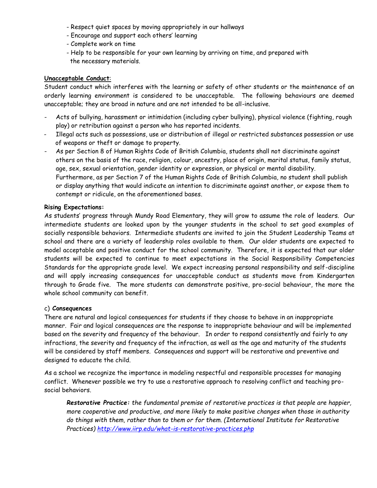- Respect quiet spaces by moving appropriately in our hallways
- Encourage and support each others' learning
- Complete work on time
- Help to be responsible for your own learning by arriving on time, and prepared with the necessary materials.

#### **Unacceptable Conduct**:

Student conduct which interferes with the learning or safety of other students or the maintenance of an orderly learning environment is considered to be unacceptable. The following behaviours are deemed unacceptable; they are broad in nature and are not intended to be all-inclusive.

- Acts of bullying, harassment or intimidation (including cyber bullying), physical violence (fighting, rough play) or retribution against a person who has reported incidents.
- Illegal acts such as possessions, use or distribution of illegal or restricted substances possession or use of weapons or theft or damage to property.
- As per Section 8 of Human Rights Code of British Columbia, students shall not discriminate against others on the basis of the race, religion, colour, ancestry, place of origin, marital status, family status, age, sex, sexual orientation, gender identity or expression, or physical or mental disability. Furthermore, as per Section 7 of the Human Rights Code of British Columbia, no student shall publish or display anything that would indicate an intention to discriminate against another, or expose them to contempt or ridicule, on the aforementioned bases.

#### **Rising Expectations:**

As students' progress through Mundy Road Elementary, they will grow to assume the role of leaders. Our intermediate students are looked upon by the younger students in the school to set good examples of socially responsible behaviors. Intermediate students are invited to join the Student Leadership Teams at school and there are a variety of leadership roles available to them. Our older students are expected to model acceptable and positive conduct for the school community. Therefore, it is expected that our older students will be expected to continue to meet expectations in the Social Responsibility Competencies Standards for the appropriate grade level. We expect increasing personal responsibility and self-discipline and will apply increasing consequences for unacceptable conduct as students move from Kindergarten through to Grade five. The more students can demonstrate positive, pro-social behaviour, the more the whole school community can benefit.

#### c) **Consequences**

There are natural and logical consequences for students if they choose to behave in an inappropriate manner. Fair and logical consequences are the response to inappropriate behaviour and will be implemented based on the severity and frequency of the behaviour. In order to respond consistently and fairly to any infractions, the severity and frequency of the infraction, as well as the age and maturity of the students will be considered by staff members. Consequences and support will be restorative and preventive and designed to educate the child.

As a school we recognize the importance in modeling respectful and responsible processes for managing conflict. Whenever possible we try to use a restorative approach to resolving conflict and teaching prosocial behaviors.

*Restorative Practice: the fundamental premise of restorative practices is that people are happier, more cooperative and productive, and more likely to make positive changes when those in authority do things with them, rather than to them or for them. (International Institute for Restorative Practices)<http://www.iirp.edu/what-is-restorative-practices.php>*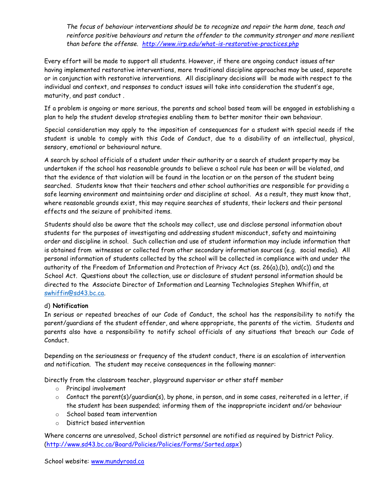*The focus of behaviour interventions should be to recognize and repair the harm done, teach and reinforce positive behaviours and return the offender to the community stronger and more resilient than before the offense. <http://www.iirp.edu/what-is-restorative-practices.php>*

Every effort will be made to support all students. However, if there are ongoing conduct issues after having implemented restorative interventions, more traditional discipline approaches may be used, separate or in conjunction with restorative interventions. All disciplinary decisions will be made with respect to the individual and context, and responses to conduct issues will take into consideration the student's age, maturity, and past conduct .

If a problem is ongoing or more serious, the parents and school based team will be engaged in establishing a plan to help the student develop strategies enabling them to better monitor their own behaviour.

Special consideration may apply to the imposition of consequences for a student with special needs if the student is unable to comply with this Code of Conduct, due to a disability of an intellectual, physical, sensory, emotional or behavioural nature.

A search by school officials of a student under their authority or a search of student property may be undertaken if the school has reasonable grounds to believe a school rule has been or will be violated, and that the evidence of that violation will be found in the location or on the person of the student being searched. Students know that their teachers and other school authorities are responsible for providing a safe learning environment and maintaining order and discipline at school. As a result, they must know that, where reasonable grounds exist, this may require searches of students, their lockers and their personal effects and the seizure of prohibited items.

Students should also be aware that the schools may collect, use and disclose personal information about students for the purposes of investigating and addressing student misconduct, safety and maintaining order and discipline in school. Such collection and use of student information may include information that is obtained from witnesses or collected from other secondary information sources (e.g. social media). All personal information of students collected by the school will be collected in compliance with and under the authority of the Freedom of Information and Protection of Privacy Act (ss. 26(a),(b), and(c)) and the School Act. Questions about the collection, use or disclosure of student personal information should be directed to the Associate Director of Information and Learning Technologies Stephen Whiffin, at [swhiffin@sd43.bc.ca.](mailto:swhiffin@sd43.bc.ca)

# d) **Notification**

In serious or repeated breaches of our Code of Conduct, the school has the responsibility to notify the parent/guardians of the student offender, and where appropriate, the parents of the victim. Students and parents also have a responsibility to notify school officials of any situations that breach our Code of Conduct.

Depending on the seriousness or frequency of the student conduct, there is an escalation of intervention and notification. The student may receive consequences in the following manner:

Directly from the classroom teacher, playground supervisor or other staff member

- o Principal involvement
- $\circ$  Contact the parent(s)/guardian(s), by phone, in person, and in some cases, reiterated in a letter, if the student has been suspended; informing them of the inappropriate incident and/or behaviour
- o School based team intervention
- o District based intervention

Where concerns are unresolved, School district personnel are notified as required by District Policy. [\(http://www.sd43.bc.ca/Board/Policies/Policies/Forms/Sorted.aspx\)](http://www.sd43.bc.ca/Board/Policies/Policies/Forms/Sorted.aspx)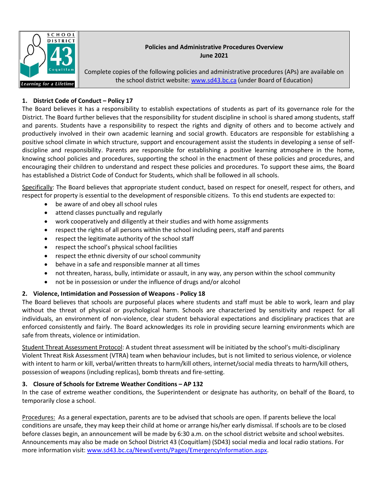

# **Policies and Administrative Procedures Overview June 2021**

Complete copies of the following policies and administrative procedures (APs) are available on the school district website[: www.sd43.bc.ca](http://www.sd43.bc.ca/) (under Board of Education)

# **1. District Code of Conduct – Policy 17**

The Board believes it has a responsibility to establish expectations of students as part of its governance role for the District. The Board further believes that the responsibility for student discipline in school is shared among students, staff and parents. Students have a responsibility to respect the rights and dignity of others and to become actively and productively involved in their own academic learning and social growth. Educators are responsible for establishing a positive school climate in which structure, support and encouragement assist the students in developing a sense of selfdiscipline and responsibility. Parents are responsible for establishing a positive learning atmosphere in the home, knowing school policies and procedures, supporting the school in the enactment of these policies and procedures, and encouraging their children to understand and respect these policies and procedures. To support these aims, the Board has established a District Code of Conduct for Students, which shall be followed in all schools.

Specifically: The Board believes that appropriate student conduct, based on respect for oneself, respect for others, and respect for property is essential to the development of responsible citizens. To this end students are expected to:

- be aware of and obey all school rules
- attend classes punctually and regularly
- work cooperatively and diligently at their studies and with home assignments
- respect the rights of all persons within the school including peers, staff and parents
- respect the legitimate authority of the school staff
- respect the school's physical school facilities
- respect the ethnic diversity of our school community
- behave in a safe and responsible manner at all times
- not threaten, harass, bully, intimidate or assault, in any way, any person within the school community
- not be in possession or under the influence of drugs and/or alcohol

# **2. Violence, Intimidation and Possession of Weapons - Policy 18**

The Board believes that schools are purposeful places where students and staff must be able to work, learn and play without the threat of physical or psychological harm. Schools are characterized by sensitivity and respect for all individuals, an environment of non-violence, clear student behavioral expectations and disciplinary practices that are enforced consistently and fairly. The Board acknowledges its role in providing secure learning environments which are safe from threats, violence or intimidation.

Student Threat Assessment Protocol: A student threat assessment will be initiated by the school's multi-disciplinary Violent Threat Risk Assessment (VTRA) team when behaviour includes, but is not limited to serious violence, or violence with intent to harm or kill, verbal/written threats to harm/kill others, internet/social media threats to harm/kill others, possession of weapons (including replicas), bomb threats and fire-setting.

# **3. Closure of Schools for Extreme Weather Conditions – AP 132**

In the case of extreme weather conditions, the Superintendent or designate has authority, on behalf of the Board, to temporarily close a school.

Procedures: As a general expectation, parents are to be advised that schools are open. If parents believe the local conditions are unsafe, they may keep their child at home or arrange his/her early dismissal. If schools are to be closed before classes begin, an announcement will be made by 6:30 a.m. on the school district website and school websites. Announcements may also be made on School District 43 (Coquitlam) (SD43) social media and local radio stations. For more information visit: [www.sd43.bc.ca/NewsEvents/Pages/EmergencyInformation.aspx.](http://www.sd43.bc.ca/NewsEvents/Pages/EmergencyInformation.aspx)